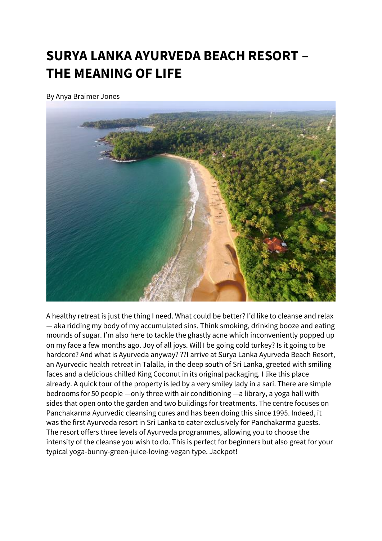## **SURYA LANKA AYURVEDA BEACH RESORT – THE MEANING OF LIFE**

By Anya Braimer Jones



A healthy retreat is just the thing I need. What could be better? I'd like to cleanse and relax — aka ridding my body of my accumulated sins. Think smoking, drinking booze and eating mounds of sugar. I'm also here to tackle the ghastly acne which inconveniently popped up on my face a few months ago. Joy of all joys. Will I be going cold turkey? Is it going to be hardcore? And what is Ayurveda anyway? ??I arrive at Surya Lanka Ayurveda Beach Resort, an Ayurvedic health retreat in Talalla, in the deep south of Sri Lanka, greeted with smiling faces and a delicious chilled King Coconut in its original packaging. I like this place already. A quick tour of the property is led by a very smiley lady in a sari. There are simple bedrooms for 50 people —only three with air conditioning —a library, a yoga hall with sides that open onto the garden and two buildings for treatments. The centre focuses on Panchakarma Ayurvedic cleansing cures and has been doing this since 1995. Indeed, it was the first Ayurveda resort in Sri Lanka to cater exclusively for Panchakarma guests. The resort offers three levels of Ayurveda programmes, allowing you to choose the intensity of the cleanse you wish to do. This is perfect for beginners but also great for your typical yoga-bunny-green-juice-loving-vegan type. Jackpot!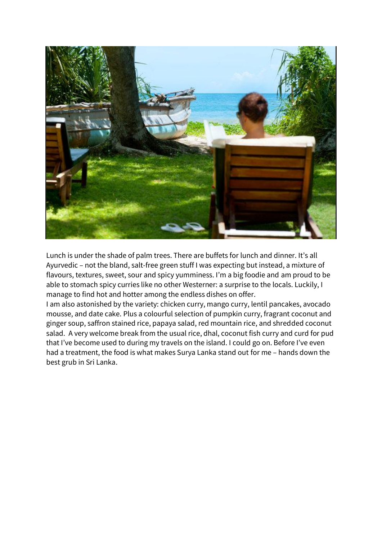

Lunch is under the shade of palm trees. There are buffets for lunch and dinner. It's all Ayurvedic – not the bland, salt-free green stuff I was expecting but instead, a mixture of flavours, textures, sweet, sour and spicy yumminess. I'm a big foodie and am proud to be able to stomach spicy curries like no other Westerner: a surprise to the locals. Luckily, I manage to find hot and hotter among the endless dishes on offer.

I am also astonished by the variety: chicken curry, mango curry, lentil pancakes, avocado mousse, and date cake. Plus a colourful selection of pumpkin curry, fragrant coconut and ginger soup, saffron stained rice, papaya salad, red mountain rice, and shredded coconut salad. A very welcome break from the usual rice, dhal, coconut fish curry and curd for pud that I've become used to during my travels on the island. I could go on. Before I've even had a treatment, the food is what makes Surya Lanka stand out for me – hands down the best grub in Sri Lanka.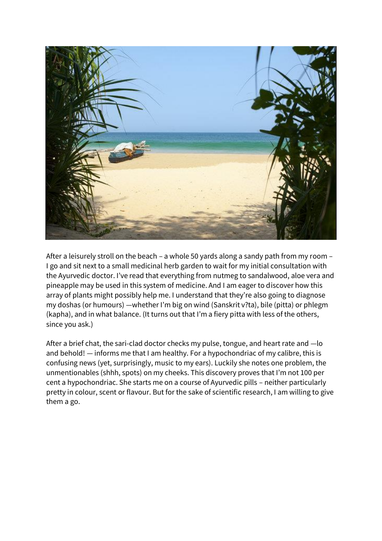

After a leisurely stroll on the beach – a whole 50 yards along a sandy path from my room – I go and sit next to a small medicinal herb garden to wait for my initial consultation with the Ayurvedic doctor. I've read that everything from nutmeg to sandalwood, aloe vera and pineapple may be used in this system of medicine. And I am eager to discover how this array of plants might possibly help me. I understand that they're also going to diagnose my doshas (or humours) —whether I'm big on wind (Sanskrit v?ta), bile (pitta) or phlegm (kapha), and in what balance. (It turns out that I'm a fiery pitta with less of the others, since you ask.)

After a brief chat, the sari-clad doctor checks my pulse, tongue, and heart rate and —lo and behold! — informs me that I am healthy. For a hypochondriac of my calibre, this is confusing news (yet, surprisingly, music to my ears). Luckily she notes one problem, the unmentionables (shhh, spots) on my cheeks. This discovery proves that I'm not 100 per cent a hypochondriac. She starts me on a course of Ayurvedic pills – neither particularly pretty in colour, scent or flavour. But for the sake of scientific research, I am willing to give them a go.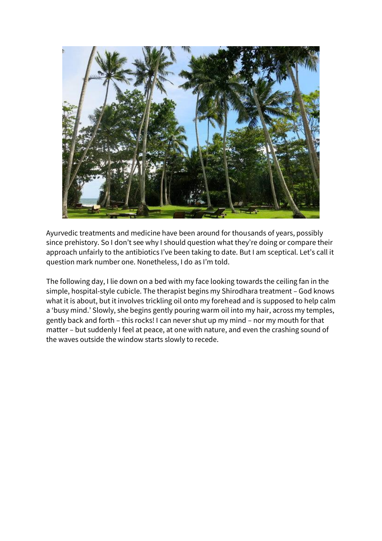

Ayurvedic treatments and medicine have been around for thousands of years, possibly since prehistory. So I don't see why I should question what they're doing or compare their approach unfairly to the antibiotics I've been taking to date. But I am sceptical. Let's call it question mark number one. Nonetheless, I do as I'm told.

The following day, I lie down on a bed with my face looking towards the ceiling fan in the simple, hospital-style cubicle. The therapist begins my Shirodhara treatment – God knows what it is about, but it involves trickling oil onto my forehead and is supposed to help calm a 'busy mind.' Slowly, she begins gently pouring warm oil into my hair, across my temples, gently back and forth – this rocks! I can never shut up my mind – nor my mouth for that matter – but suddenly I feel at peace, at one with nature, and even the crashing sound of the waves outside the window starts slowly to recede.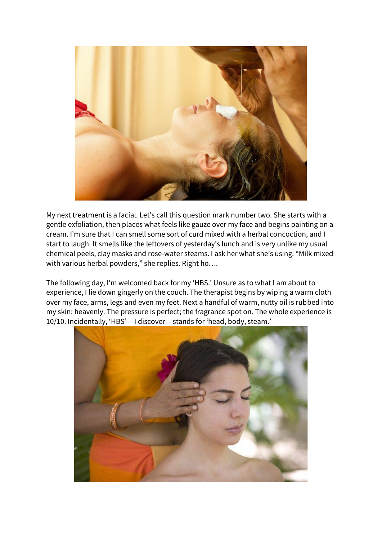

My next treatment is a facial. Let's call this question mark number two. She starts with a gentle exfoliation, then places what feels like gauze over my face and begins painting on a cream. I'm sure that I can smell some sort of curd mixed with a herbal concoction, and I start to laugh. It smells like the leftovers of yesterday's lunch and is very unlike my usual chemical peels, clay masks and rose-water steams. I ask her what she's using. "Milk mixed with various herbal powders," she replies. Right ho....

The following day, I'm welcomed back for my 'HBS.' Unsure as to what I am about to experience, I lie down gingerly on the couch. The therapist begins by wiping a warm cloth over my face, arms, legs and even my feet. Next a handful of warm, nutty oil is rubbed into my skin: heavenly. The pressure is perfect; the fragrance spot on. The whole experience is 10/10. Incidentally, 'HBS' —I discover —stands for 'head, body, steam.'